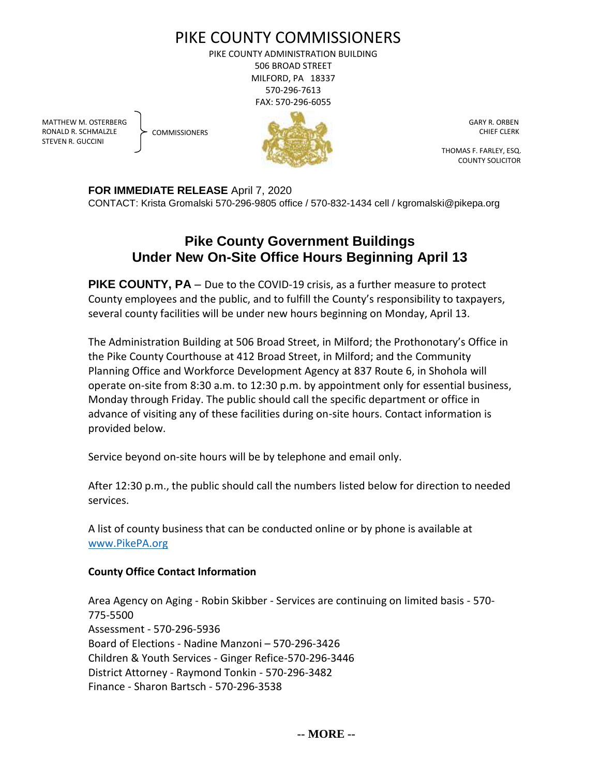## PIKE COUNTY COMMISSIONERS

PIKE COUNTY ADMINISTRATION BUILDING 506 BROAD STREET MILFORD, PA 18337 570-296-7613 FAX: 570-296-6055

MATTHEW M. OSTERBERG RONALD R. SCHMALZLE STEVEN R. GUCCINI

**COMMISSIONERS** 



 GARY R. ORBEN CHIEF CLERK

 THOMAS F. FARLEY, ESQ. COUNTY SOLICITOR

**FOR IMMEDIATE RELEASE** April 7, 2020

CONTACT: Krista Gromalski 570-296-9805 office / 570-832-1434 cell / kgromalski@pikepa.org

## **Pike County Government Buildings Under New On-Site Office Hours Beginning April 13**

**PIKE COUNTY, PA** – Due to the COVID-19 crisis, as a further measure to protect County employees and the public, and to fulfill the County's responsibility to taxpayers, several county facilities will be under new hours beginning on Monday, April 13.

The Administration Building at 506 Broad Street, in Milford; the Prothonotary's Office in the Pike County Courthouse at 412 Broad Street, in Milford; and the Community Planning Office and Workforce Development Agency at 837 Route 6, in Shohola will operate on-site from 8:30 a.m. to 12:30 p.m. by appointment only for essential business, Monday through Friday. The public should call the specific department or office in advance of visiting any of these facilities during on-site hours. Contact information is provided below.

Service beyond on-site hours will be by telephone and email only.

After 12:30 p.m., the public should call the numbers listed below for direction to needed services.

A list of county business that can be conducted online or by phone is available at [www.PikePA.org](http://www.pikepa.org/)

## **County Office Contact Information**

Area Agency on Aging - Robin Skibber - Services are continuing on limited basis - 570- 775-5500 Assessment - 570-296-5936 Board of Elections - Nadine Manzoni – 570-296-3426 Children & Youth Services - Ginger Refice-570-296-3446 District Attorney - Raymond Tonkin - 570-296-3482 Finance - Sharon Bartsch - 570-296-3538